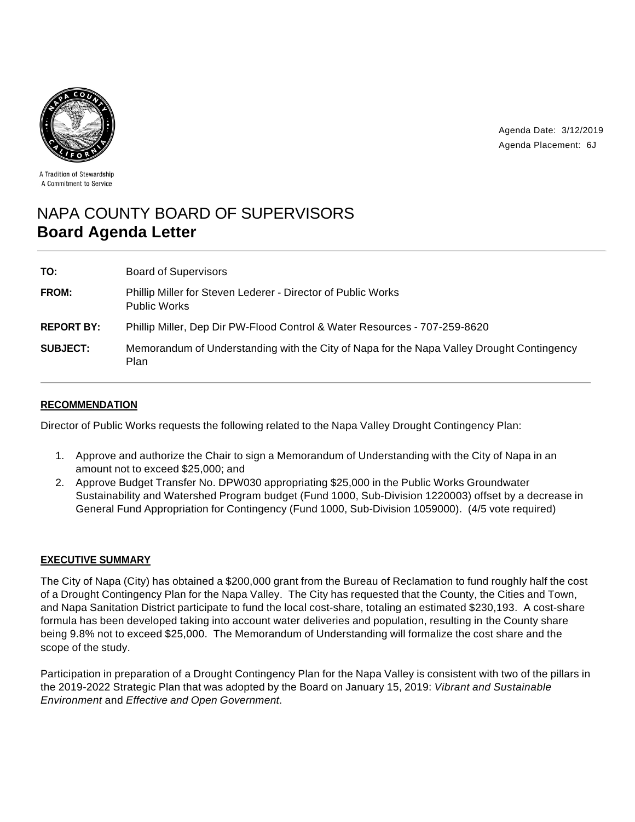

Agenda Date: 3/12/2019 Agenda Placement: 6J

A Tradition of Stewardship A Commitment to Service

# NAPA COUNTY BOARD OF SUPERVISORS **Board Agenda Letter**

| TO:               | <b>Board of Supervisors</b>                                                                       |
|-------------------|---------------------------------------------------------------------------------------------------|
| FROM:             | Phillip Miller for Steven Lederer - Director of Public Works<br><b>Public Works</b>               |
| <b>REPORT BY:</b> | Phillip Miller, Dep Dir PW-Flood Control & Water Resources - 707-259-8620                         |
| <b>SUBJECT:</b>   | Memorandum of Understanding with the City of Napa for the Napa Valley Drought Contingency<br>Plan |

# **RECOMMENDATION**

Director of Public Works requests the following related to the Napa Valley Drought Contingency Plan:

- 1. Approve and authorize the Chair to sign a Memorandum of Understanding with the City of Napa in an amount not to exceed \$25,000; and
- 2. Approve Budget Transfer No. DPW030 appropriating \$25,000 in the Public Works Groundwater Sustainability and Watershed Program budget (Fund 1000, Sub-Division 1220003) offset by a decrease in General Fund Appropriation for Contingency (Fund 1000, Sub-Division 1059000). (4/5 vote required)

#### **EXECUTIVE SUMMARY**

The City of Napa (City) has obtained a \$200,000 grant from the Bureau of Reclamation to fund roughly half the cost of a Drought Contingency Plan for the Napa Valley. The City has requested that the County, the Cities and Town, and Napa Sanitation District participate to fund the local cost-share, totaling an estimated \$230,193. A cost-share formula has been developed taking into account water deliveries and population, resulting in the County share being 9.8% not to exceed \$25,000. The Memorandum of Understanding will formalize the cost share and the scope of the study.

Participation in preparation of a Drought Contingency Plan for the Napa Valley is consistent with two of the pillars in the 2019-2022 Strategic Plan that was adopted by the Board on January 15, 2019: Vibrant and Sustainable Environment and Effective and Open Government.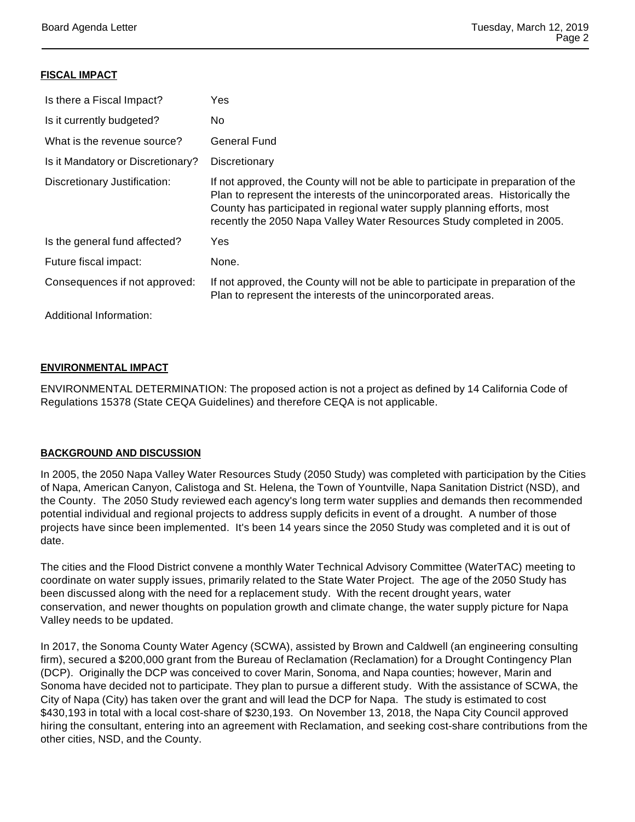### **FISCAL IMPACT**

| Is there a Fiscal Impact?         | Yes                                                                                                                                                                                                                                                                                                                     |
|-----------------------------------|-------------------------------------------------------------------------------------------------------------------------------------------------------------------------------------------------------------------------------------------------------------------------------------------------------------------------|
| Is it currently budgeted?         | No.                                                                                                                                                                                                                                                                                                                     |
| What is the revenue source?       | General Fund                                                                                                                                                                                                                                                                                                            |
| Is it Mandatory or Discretionary? | Discretionary                                                                                                                                                                                                                                                                                                           |
| Discretionary Justification:      | If not approved, the County will not be able to participate in preparation of the<br>Plan to represent the interests of the unincorporated areas. Historically the<br>County has participated in regional water supply planning efforts, most<br>recently the 2050 Napa Valley Water Resources Study completed in 2005. |
| Is the general fund affected?     | Yes                                                                                                                                                                                                                                                                                                                     |
| Future fiscal impact:             | None.                                                                                                                                                                                                                                                                                                                   |
| Consequences if not approved:     | If not approved, the County will not be able to participate in preparation of the<br>Plan to represent the interests of the unincorporated areas.                                                                                                                                                                       |
| Additional Information:           |                                                                                                                                                                                                                                                                                                                         |

# **ENVIRONMENTAL IMPACT**

ENVIRONMENTAL DETERMINATION: The proposed action is not a project as defined by 14 California Code of Regulations 15378 (State CEQA Guidelines) and therefore CEQA is not applicable.

#### **BACKGROUND AND DISCUSSION**

In 2005, the 2050 Napa Valley Water Resources Study (2050 Study) was completed with participation by the Cities of Napa, American Canyon, Calistoga and St. Helena, the Town of Yountville, Napa Sanitation District (NSD), and the County. The 2050 Study reviewed each agency's long term water supplies and demands then recommended potential individual and regional projects to address supply deficits in event of a drought. A number of those projects have since been implemented. It's been 14 years since the 2050 Study was completed and it is out of date.

The cities and the Flood District convene a monthly Water Technical Advisory Committee (WaterTAC) meeting to coordinate on water supply issues, primarily related to the State Water Project. The age of the 2050 Study has been discussed along with the need for a replacement study. With the recent drought years, water conservation, and newer thoughts on population growth and climate change, the water supply picture for Napa Valley needs to be updated.

In 2017, the Sonoma County Water Agency (SCWA), assisted by Brown and Caldwell (an engineering consulting firm), secured a \$200,000 grant from the Bureau of Reclamation (Reclamation) for a Drought Contingency Plan (DCP). Originally the DCP was conceived to cover Marin, Sonoma, and Napa counties; however, Marin and Sonoma have decided not to participate. They plan to pursue a different study. With the assistance of SCWA, the City of Napa (City) has taken over the grant and will lead the DCP for Napa. The study is estimated to cost \$430,193 in total with a local cost-share of \$230,193. On November 13, 2018, the Napa City Council approved hiring the consultant, entering into an agreement with Reclamation, and seeking cost-share contributions from the other cities, NSD, and the County.